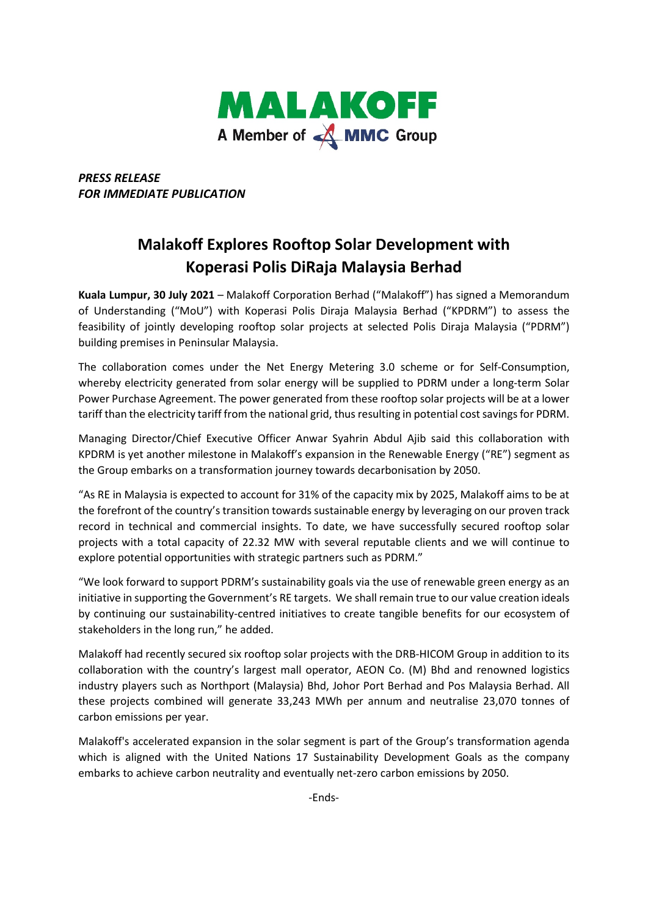

*PRESS RELEASE FOR IMMEDIATE PUBLICATION* 

## **Malakoff Explores Rooftop Solar Development with Koperasi Polis DiRaja Malaysia Berhad**

**Kuala Lumpur, 30 July 2021** – Malakoff Corporation Berhad ("Malakoff") has signed a Memorandum of Understanding ("MoU") with Koperasi Polis Diraja Malaysia Berhad ("KPDRM") to assess the feasibility of jointly developing rooftop solar projects at selected Polis Diraja Malaysia ("PDRM") building premises in Peninsular Malaysia.

The collaboration comes under the Net Energy Metering 3.0 scheme or for Self-Consumption, whereby electricity generated from solar energy will be supplied to PDRM under a long-term Solar Power Purchase Agreement. The power generated from these rooftop solar projects will be at a lower tariff than the electricity tariff from the national grid, thus resulting in potential cost savings for PDRM.

Managing Director/Chief Executive Officer Anwar Syahrin Abdul Ajib said this collaboration with KPDRM is yet another milestone in Malakoff's expansion in the Renewable Energy ("RE") segment as the Group embarks on a transformation journey towards decarbonisation by 2050.

"As RE in Malaysia is expected to account for 31% of the capacity mix by 2025, Malakoff aims to be at the forefront of the country's transition towards sustainable energy by leveraging on our proven track record in technical and commercial insights. To date, we have successfully secured rooftop solar projects with a total capacity of 22.32 MW with several reputable clients and we will continue to explore potential opportunities with strategic partners such as PDRM."

"We look forward to support PDRM's sustainability goals via the use of renewable green energy as an initiative in supporting the Government's RE targets. We shall remain true to our value creation ideals by continuing our sustainability-centred initiatives to create tangible benefits for our ecosystem of stakeholders in the long run," he added.

Malakoff had recently secured six rooftop solar projects with the DRB-HICOM Group in addition to its collaboration with the country's largest mall operator, AEON Co. (M) Bhd and renowned logistics industry players such as Northport (Malaysia) Bhd, Johor Port Berhad and Pos Malaysia Berhad. All these projects combined will generate 33,243 MWh per annum and neutralise 23,070 tonnes of carbon emissions per year.

Malakoff's accelerated expansion in the solar segment is part of the Group's transformation agenda which is aligned with the United Nations 17 Sustainability Development Goals as the company embarks to achieve carbon neutrality and eventually net-zero carbon emissions by 2050.